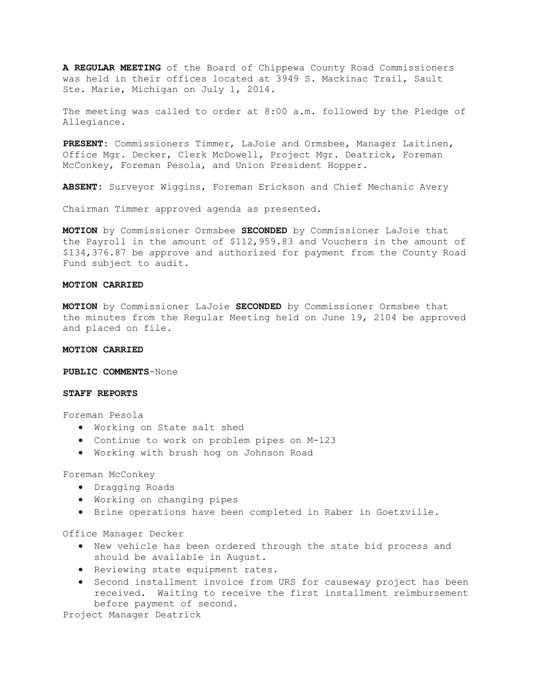**A REGULAR MEETING** of the Board of Chippewa County Road Commissioners was held in their offices located at 3949 S. Mackinac Trail, Sault Ste. Marie, Michigan on July 1, 2014.

The meeting was called to order at 8:00 a.m. followed by the Pledge of Allegiance.

**PRESENT:** Commissioners Timmer, LaJoie and Ormsbee, Manager Laitinen, Office Mgr. Decker, Clerk McDowell, Project Mgr. Deatrick, Foreman McConkey, Foreman Pesola, and Union President Hopper.

**ABSENT:** Surveyor Wiggins, Foreman Erickson and Chief Mechanic Avery

Chairman Timmer approved agenda as presented.

**MOTION** by Commissioner Ormsbee **SECONDED** by Commissioner LaJoie that the Payroll in the amount of \$112,959.83 and Vouchers in the amount of \$134,376.87 be approve and authorized for payment from the County Road Fund subject to audit.

## **MOTION CARRIED**

**MOTION** by Commissioner LaJoie **SECONDED** by Commissioner Ormsbee that the minutes from the Regular Meeting held on June 19, 2104 be approved and placed on file.

#### **MOTION CARRIED**

**PUBLIC COMMENTS**-None

# **STAFF REPORTS**

Foreman Pesola

- · Working on State salt shed
- · Continue to work on problem pipes on M-123
- · Working with brush hog on Johnson Road

Foreman McConkey

- · Dragging Roads
- · Working on changing pipes
- · Brine operations have been completed in Raber in Goetzville.

Office Manager Decker

- · New vehicle has been ordered through the state bid process and should be available in August.
- · Reviewing state equipment rates.
- · Second installment invoice from URS for causeway project has been received. Waiting to receive the first installment reimbursement before payment of second.

Project Manager Deatrick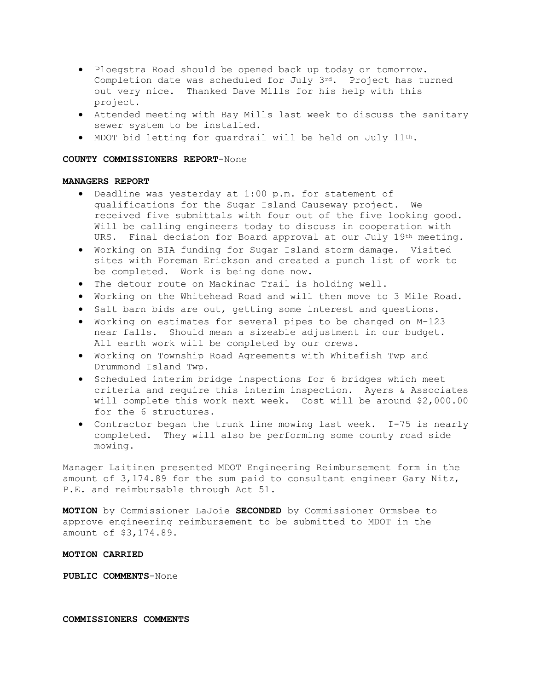- · Ploegstra Road should be opened back up today or tomorrow. Completion date was scheduled for July  $3^{rd}$ . Project has turned out very nice. Thanked Dave Mills for his help with this project.
- · Attended meeting with Bay Mills last week to discuss the sanitary sewer system to be installed.
- · MDOT bid letting for guardrail will be held on July 11th.

#### **COUNTY COMMISSIONERS REPORT**-None

### **MANAGERS REPORT**

- · Deadline was yesterday at 1:00 p.m. for statement of qualifications for the Sugar Island Causeway project. We received five submittals with four out of the five looking good. Will be calling engineers today to discuss in cooperation with URS. Final decision for Board approval at our July 19th meeting.
- · Working on BIA funding for Sugar Island storm damage. Visited sites with Foreman Erickson and created a punch list of work to be completed. Work is being done now.
- · The detour route on Mackinac Trail is holding well.
- · Working on the Whitehead Road and will then move to 3 Mile Road.
- · Salt barn bids are out, getting some interest and questions.
- · Working on estimates for several pipes to be changed on M-123 near falls. Should mean a sizeable adjustment in our budget. All earth work will be completed by our crews.
- · Working on Township Road Agreements with Whitefish Twp and Drummond Island Twp.
- · Scheduled interim bridge inspections for 6 bridges which meet criteria and require this interim inspection. Ayers & Associates will complete this work next week. Cost will be around \$2,000.00 for the 6 structures.
- · Contractor began the trunk line mowing last week. I-75 is nearly completed. They will also be performing some county road side mowing.

Manager Laitinen presented MDOT Engineering Reimbursement form in the amount of 3,174.89 for the sum paid to consultant engineer Gary Nitz, P.E. and reimbursable through Act 51.

**MOTION** by Commissioner LaJoie **SECONDED** by Commissioner Ormsbee to approve engineering reimbursement to be submitted to MDOT in the amount of \$3,174.89.

#### **MOTION CARRIED**

**PUBLIC COMMENTS**-None

**COMMISSIONERS COMMENTS**